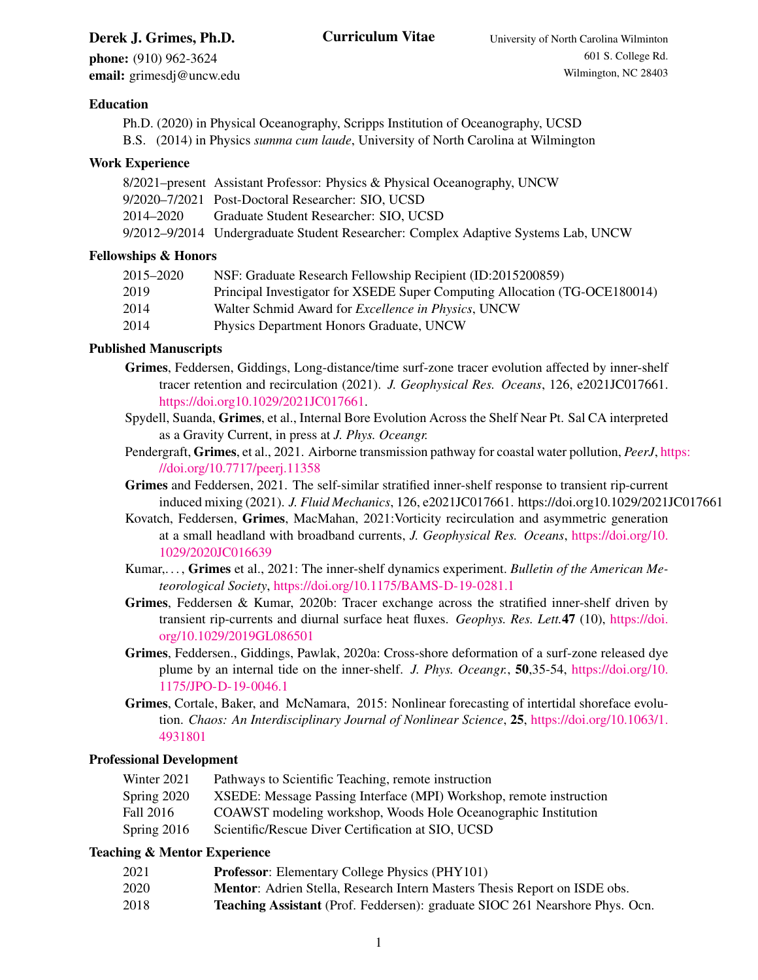# **Derek J. Grimes, Ph.D.** Curriculum Vitae University of North Carolina Wilminton

phone: (910) 962-3624 email: grimesdj@uncw.edu

# Education

Ph.D. (2020) in Physical Oceanography, Scripps Institution of Oceanography, UCSD B.S. (2014) in Physics *summa cum laude*, University of North Carolina at Wilmington

# Work Experience

|           | 8/2021–present Assistant Professor: Physics & Physical Oceanography, UNCW          |
|-----------|------------------------------------------------------------------------------------|
|           | 9/2020–7/2021 Post-Doctoral Researcher: SIO, UCSD                                  |
| 2014–2020 | Graduate Student Researcher: SIO. UCSD                                             |
|           | 9/2012–9/2014 Undergraduate Student Researcher: Complex Adaptive Systems Lab, UNCW |

# Fellowships & Honors

| 2015–2020 | NSF: Graduate Research Fellowship Recipient (ID:2015200859)                |
|-----------|----------------------------------------------------------------------------|
| 2019      | Principal Investigator for XSEDE Super Computing Allocation (TG-OCE180014) |
| 2014      | Walter Schmid Award for <i>Excellence in Physics</i> , UNCW                |
| 2014      | Physics Department Honors Graduate, UNCW                                   |

# Published Manuscripts

- Grimes, Feddersen, Giddings, Long-distance/time surf-zone tracer evolution affected by inner-shelf tracer retention and recirculation (2021). *J. Geophysical Res. Oceans*, 126, e2021JC017661. [https://doi.org10.1029/2021JC017661.](https://doi.org10.1029/2021JC017661)
- Spydell, Suanda, Grimes, et al., Internal Bore Evolution Across the Shelf Near Pt. Sal CA interpreted as a Gravity Current, in press at *J. Phys. Oceangr.*
- Pendergraft, Grimes, et al., 2021. Airborne transmission pathway for coastal water pollution, *PeerJ*, [ht](https://doi.org/10.7717/peerj.11358)tps: [//doi.org/10.7717/peerj.11358](https://doi.org/10.7717/peerj.11358)
- Grimes and Feddersen, 2021. The self-similar stratified inner-shelf response to transient rip-current induced mixing (2021). *J. Fluid Mechanics*, 126, e2021JC017661. https://doi.org10.1029/2021JC017661
- Kovatch, Feddersen, Grimes, MacMahan, 2021:Vorticity recirculation and asymmetric generation at a small headland with broadband currents, *J. Geophysical Res. Oceans*, [https://doi.org/10.](https://doi.org/10.1029/2020JC016639) [1029/2020JC016639](https://doi.org/10.1029/2020JC016639)
- Kumar,. . . , Grimes et al., 2021: The inner-shelf dynamics experiment. *Bulletin of the American Meteorological Society*, <https://doi.org/10.1175/BAMS-D-19-0281.1>
- Grimes, Feddersen & Kumar, 2020b: Tracer exchange across the stratified inner-shelf driven by transient rip-currents and diurnal surface heat fluxes. *Geophys. Res. Lett.*47 (10), [https://doi.](https://doi.org/10.1029/2019GL086501) [org/10.1029/2019GL086501](https://doi.org/10.1029/2019GL086501)
- Grimes, Feddersen., Giddings, Pawlak, 2020a: Cross-shore deformation of a surf-zone released dye plume by an internal tide on the inner-shelf. *J. Phys. Oceangr.*, 50,35-54, [https://doi.org/10.](https://doi.org/10.1175/JPO-D-19-0046.1) [1175/JPO-D-19-0046.1](https://doi.org/10.1175/JPO-D-19-0046.1)
- Grimes, Cortale, Baker, and McNamara, 2015: Nonlinear forecasting of intertidal shoreface evolution. *Chaos: An Interdisciplinary Journal of Nonlinear Science*, 25, [https://doi.org/10.1063/1.](https://doi.org/10.1063/1.4931801) [4931801](https://doi.org/10.1063/1.4931801)

#### Professional Development

| Winter 2021 | Pathways to Scientific Teaching, remote instruction                 |
|-------------|---------------------------------------------------------------------|
| Spring 2020 | XSEDE: Message Passing Interface (MPI) Workshop, remote instruction |
| Fall 2016   | COAWST modeling workshop, Woods Hole Oceanographic Institution      |

Spring 2016 Scientific/Rescue Diver Certification at SIO, UCSD

# Teaching & Mentor Experience

- 2021 Professor: Elementary College Physics (PHY101)
- 2020 Mentor: Adrien Stella, Research Intern Masters Thesis Report on ISDE obs.
- 2018 Teaching Assistant (Prof. Feddersen): graduate SIOC 261 Nearshore Phys. Ocn.